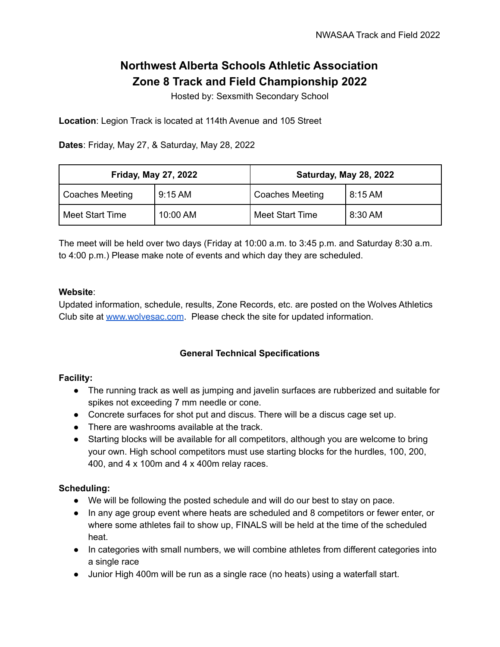# **Northwest Alberta Schools Athletic Association Zone 8 Track and Field Championship 2022**

Hosted by: Sexsmith Secondary School

**Location**: Legion Track is located at 114th Avenue and 105 Street

**Dates**: Friday, May 27, & Saturday, May 28, 2022

| <b>Friday, May 27, 2022</b> |                   | Saturday, May 28, 2022 |         |
|-----------------------------|-------------------|------------------------|---------|
| Coaches Meeting             | $9:15 \text{ AM}$ | <b>Coaches Meeting</b> | 8:15 AM |
| Meet Start Time             | 10:00 AM          | Meet Start Time        | 8:30 AM |

The meet will be held over two days (Friday at 10:00 a.m. to 3:45 p.m. and Saturday 8:30 a.m. to 4:00 p.m.) Please make note of events and which day they are scheduled.

#### **Website**:

Updated information, schedule, results, Zone Records, etc. are posted on the Wolves Athletics Club site at [www.wolvesac.com](http://www.wolvesac.com). Please check the site for updated information.

## **General Technical Specifications**

#### **Facility:**

- The running track as well as jumping and javelin surfaces are rubberized and suitable for spikes not exceeding 7 mm needle or cone.
- Concrete surfaces for shot put and discus. There will be a discus cage set up.
- There are washrooms available at the track.
- Starting blocks will be available for all competitors, although you are welcome to bring your own. High school competitors must use starting blocks for the hurdles, 100, 200, 400, and 4 x 100m and 4 x 400m relay races.

## **Scheduling:**

- We will be following the posted schedule and will do our best to stay on pace.
- In any age group event where heats are scheduled and 8 competitors or fewer enter, or where some athletes fail to show up, FINALS will be held at the time of the scheduled heat.
- In categories with small numbers, we will combine athletes from different categories into a single race
- Junior High 400m will be run as a single race (no heats) using a waterfall start.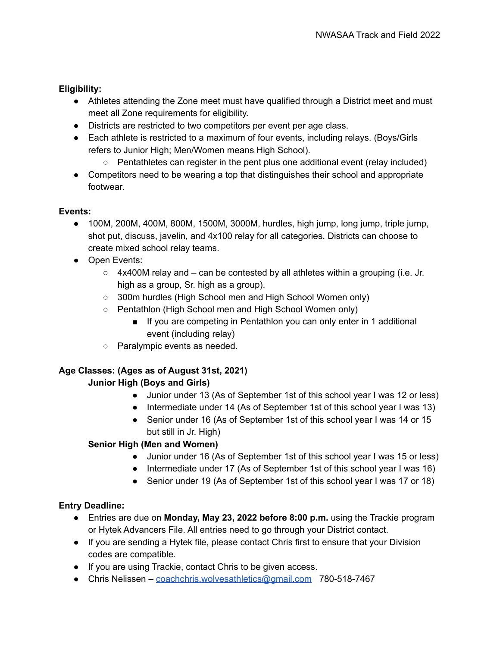## **Eligibility:**

- Athletes attending the Zone meet must have qualified through a District meet and must meet all Zone requirements for eligibility.
- Districts are restricted to two competitors per event per age class.
- Each athlete is restricted to a maximum of four events, including relays. (Boys/Girls refers to Junior High; Men/Women means High School).
	- $\circ$  Pentathletes can register in the pent plus one additional event (relay included)
- Competitors need to be wearing a top that distinguishes their school and appropriate footwear.

## **Events:**

- 100M, 200M, 400M, 800M, 1500M, 3000M, hurdles, high jump, long jump, triple jump, shot put, discuss, javelin, and 4x100 relay for all categories. Districts can choose to create mixed school relay teams.
- Open Events:
	- 4x400M relay and can be contested by all athletes within a grouping (i.e. Jr. high as a group, Sr. high as a group).
	- 300m hurdles (High School men and High School Women only)
	- Pentathlon (High School men and High School Women only)
		- If you are competing in Pentathlon you can only enter in 1 additional event (including relay)
	- Paralympic events as needed.

## **Age Classes: (Ages as of August 31st, 2021)**

## **Junior High (Boys and Girls)**

- Junior under 13 (As of September 1st of this school year I was 12 or less)
- Intermediate under 14 (As of September 1st of this school year I was 13)
- Senior under 16 (As of September 1st of this school year I was 14 or 15 but still in Jr. High)

## **Senior High (Men and Women)**

- Junior under 16 (As of September 1st of this school year I was 15 or less)
- Intermediate under 17 (As of September 1st of this school year I was 16)
- Senior under 19 (As of September 1st of this school year I was 17 or 18)

## **Entry Deadline:**

- Entries are due on **Monday, May 23, 2022 before 8:00 p.m.** using the Trackie program or Hytek Advancers File. All entries need to go through your District contact.
- If you are sending a Hytek file, please contact Chris first to ensure that your Division codes are compatible.
- If you are using Trackie, contact Chris to be given access.
- Chris Nelissen [coachchris.wolvesathletics@gmail.com](mailto:coachchris.wolvesathletics@gmail.com) 780-518-7467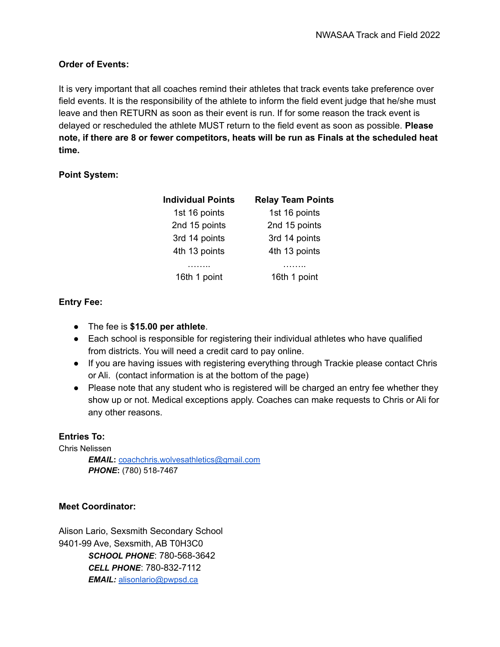## **Order of Events:**

It is very important that all coaches remind their athletes that track events take preference over field events. It is the responsibility of the athlete to inform the field event judge that he/she must leave and then RETURN as soon as their event is run. If for some reason the track event is delayed or rescheduled the athlete MUST return to the field event as soon as possible. **Please note, if there are 8 or fewer competitors, heats will be run as Finals at the scheduled heat time.**

## **Point System:**

| <b>Individual Points</b> | <b>Relay Team Points</b> |
|--------------------------|--------------------------|
| 1st 16 points            | 1st 16 points            |
| 2nd 15 points            | 2nd 15 points            |
| 3rd 14 points            | 3rd 14 points            |
| 4th 13 points            | 4th 13 points            |
|                          |                          |
| 16th 1 point             | 16th 1 point             |

## **Entry Fee:**

- The fee is **\$15.00 per athlete**.
- Each school is responsible for registering their individual athletes who have qualified from districts. You will need a credit card to pay online.
- If you are having issues with registering everything through Trackie please contact Chris or Ali. (contact information is at the bottom of the page)
- Please note that any student who is registered will be charged an entry fee whether they show up or not. Medical exceptions apply. Coaches can make requests to Chris or Ali for any other reasons.

## **Entries To:**

Chris Nelissen

*EMAIL***:** [coachchris.wolvesathletics@gmail.com](mailto:coachchris.wolvesathletics@gmail.com) *PHONE***:** (780) 518-7467

## **Meet Coordinator:**

Alison Lario, Sexsmith Secondary School 9401-99 Ave, Sexsmith, AB T0H3C0 *SCHOOL PHONE*: 780-568-3642 *CELL PHONE*: 780-832-7112 *EMAIL:* [alisonlario@pwpsd.ca](mailto:alisonlario@pwpsd.ca)